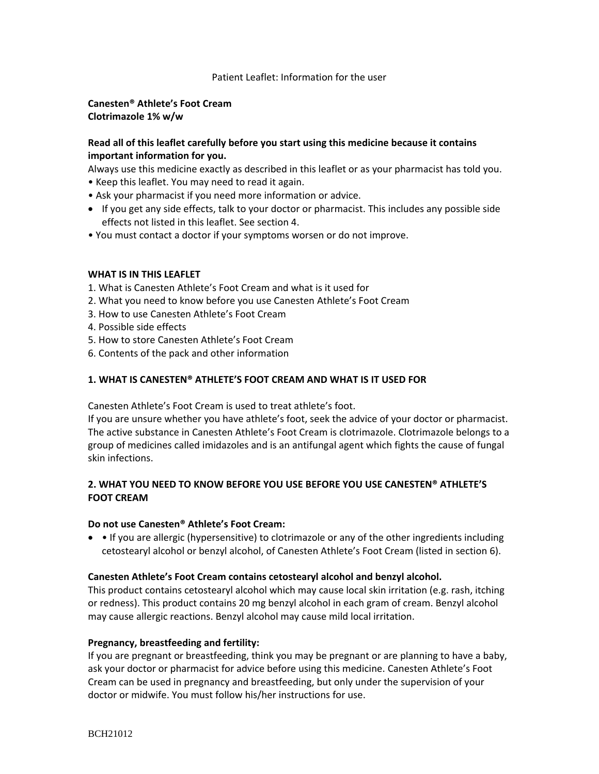## Patient Leaflet: Information for the user

## **Canesten® Athlete's Foot Cream Clotrimazole 1% w/w**

# **Read all of this leaflet carefully before you start using this medicine because it contains important information for you.**

Always use this medicine exactly as described in this leaflet or as your pharmacist has told you.

- Keep this leaflet. You may need to read it again.
- Ask your pharmacist if you need more information or advice.
- If you get any side effects, talk to your doctor or pharmacist. This includes any possible side effects not listed in this leaflet. See section 4.
- You must contact a doctor if your symptoms worsen or do not improve.

## **WHAT IS IN THIS LEAFLET**

- 1. What is Canesten Athlete's Foot Cream and what is it used for
- 2. What you need to know before you use Canesten Athlete's Foot Cream
- 3. How to use Canesten Athlete's Foot Cream
- 4. Possible side effects
- 5. How to store Canesten Athlete's Foot Cream
- 6. Contents of the pack and other information

## **1. WHAT IS CANESTEN® ATHLETE'S FOOT CREAM AND WHAT IS IT USED FOR**

Canesten Athlete's Foot Cream is used to treat athlete's foot.

If you are unsure whether you have athlete's foot, seek the advice of your doctor or pharmacist. The active substance in Canesten Athlete's Foot Cream is clotrimazole. Clotrimazole belongs to a group of medicines called imidazoles and is an antifungal agent which fights the cause of fungal skin infections.

# **2. WHAT YOU NEED TO KNOW BEFORE YOU USE BEFORE YOU USE CANESTEN® ATHLETE'S FOOT CREAM**

## **Do not use Canesten® Athlete's Foot Cream:**

• If you are allergic (hypersensitive) to clotrimazole or any of the other ingredients including cetostearyl alcohol or benzyl alcohol, of Canesten Athlete's Foot Cream (listed in section 6).

## **Canesten Athlete's Foot Cream contains cetostearyl alcohol and benzyl alcohol.**

This product contains cetostearyl alcohol which may cause local skin irritation (e.g. rash, itching or redness). This product contains 20 mg benzyl alcohol in each gram of cream. Benzyl alcohol may cause allergic reactions. Benzyl alcohol may cause mild local irritation.

## **Pregnancy, breastfeeding and fertility:**

If you are pregnant or breastfeeding, think you may be pregnant or are planning to have a baby, ask your doctor or pharmacist for advice before using this medicine. Canesten Athlete's Foot Cream can be used in pregnancy and breastfeeding, but only under the supervision of your doctor or midwife. You must follow his/her instructions for use.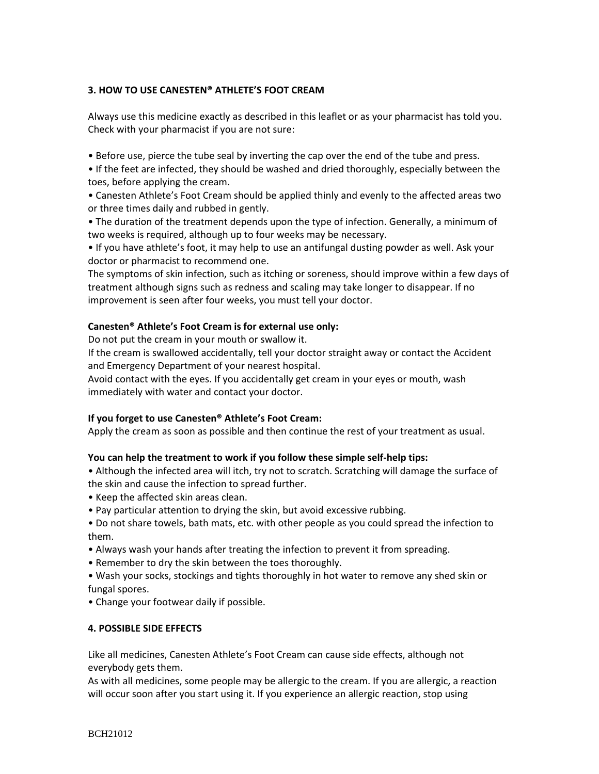# **3. HOW TO USE CANESTEN® ATHLETE'S FOOT CREAM**

Always use this medicine exactly as described in this leaflet or as your pharmacist has told you. Check with your pharmacist if you are not sure:

• Before use, pierce the tube seal by inverting the cap over the end of the tube and press.

• If the feet are infected, they should be washed and dried thoroughly, especially between the toes, before applying the cream.

• Canesten Athlete's Foot Cream should be applied thinly and evenly to the affected areas two or three times daily and rubbed in gently.

• The duration of the treatment depends upon the type of infection. Generally, a minimum of two weeks is required, although up to four weeks may be necessary.

• If you have athlete's foot, it may help to use an antifungal dusting powder as well. Ask your doctor or pharmacist to recommend one.

The symptoms of skin infection, such as itching or soreness, should improve within a few days of treatment although signs such as redness and scaling may take longer to disappear. If no improvement is seen after four weeks, you must tell your doctor.

## **Canesten® Athlete's Foot Cream is for external use only:**

Do not put the cream in your mouth or swallow it.

If the cream is swallowed accidentally, tell your doctor straight away or contact the Accident and Emergency Department of your nearest hospital.

Avoid contact with the eyes. If you accidentally get cream in your eyes or mouth, wash immediately with water and contact your doctor.

# **If you forget to use Canesten® Athlete's Foot Cream:**

Apply the cream as soon as possible and then continue the rest of your treatment as usual.

# **You can help the treatment to work if you follow these simple self-help tips:**

• Although the infected area will itch, try not to scratch. Scratching will damage the surface of the skin and cause the infection to spread further.

- Keep the affected skin areas clean.
- Pay particular attention to drying the skin, but avoid excessive rubbing.

• Do not share towels, bath mats, etc. with other people as you could spread the infection to them.

- Always wash your hands after treating the infection to prevent it from spreading.
- Remember to dry the skin between the toes thoroughly.

• Wash your socks, stockings and tights thoroughly in hot water to remove any shed skin or fungal spores.

• Change your footwear daily if possible.

# **4. POSSIBLE SIDE EFFECTS**

Like all medicines, Canesten Athlete's Foot Cream can cause side effects, although not everybody gets them.

As with all medicines, some people may be allergic to the cream. If you are allergic, a reaction will occur soon after you start using it. If you experience an allergic reaction, stop using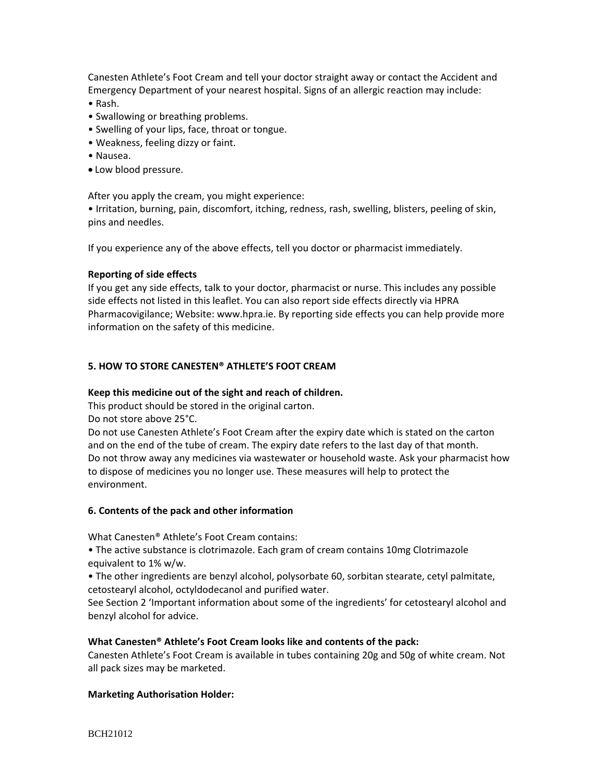Canesten Athlete's Foot Cream and tell your doctor straight away or contact the Accident and Emergency Department of your nearest hospital. Signs of an allergic reaction may include:

- Rash.
- Swallowing or breathing problems.
- Swelling of your lips, face, throat or tongue.
- Weakness, feeling dizzy or faint.
- Nausea.
- Low blood pressure.

After you apply the cream, you might experience:

• Irritation, burning, pain, discomfort, itching, redness, rash, swelling, blisters, peeling of skin, pins and needles.

If you experience any of the above effects, tell you doctor or pharmacist immediately.

#### **Reporting of side effects**

If you get any side effects, talk to your doctor, pharmacist or nurse. This includes any possible side effects not listed in this leaflet. You can also report side effects directly via HPRA Pharmacovigilance; Website: www.hpra.ie. By reporting side effects you can help provide more information on the safety of this medicine.

#### **5. HOW TO STORE CANESTEN® ATHLETE'S FOOT CREAM**

#### **Keep this medicine out of the sight and reach of children.**

This product should be stored in the original carton.

Do not store above 25°C.

Do not use Canesten Athlete's Foot Cream after the expiry date which is stated on the carton and on the end of the tube of cream. The expiry date refers to the last day of that month. Do not throw away any medicines via wastewater or household waste. Ask your pharmacist how to dispose of medicines you no longer use. These measures will help to protect the environment.

## **6. Contents of the pack and other information**

What Canesten® Athlete's Foot Cream contains:

• The active substance is clotrimazole. Each gram of cream contains 10mg Clotrimazole equivalent to 1% w/w.

• The other ingredients are benzyl alcohol, polysorbate 60, sorbitan stearate, cetyl palmitate, cetostearyl alcohol, octyldodecanol and purified water.

See Section 2 'Important information about some of the ingredients' for cetostearyl alcohol and benzyl alcohol for advice.

#### **What Canesten® Athlete's Foot Cream looks like and contents of the pack:**

Canesten Athlete's Foot Cream is available in tubes containing 20g and 50g of white cream. Not all pack sizes may be marketed.

## **Marketing Authorisation Holder:**